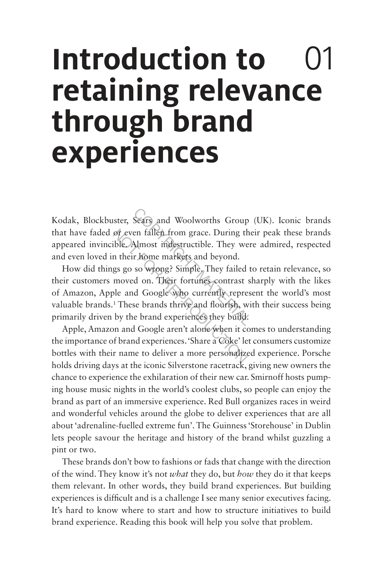# **Introduction to retaining relevance through brand experiences** 01

Kodak, Blockbuster, Sears and Woolworths Group (UK). Iconic brands that have faded or even fallen from grace. During their peak these brands appeared invincible. Almost indestructible. They were admired, respected and even loved in their home markets and beyond.

Sears and Woolworths Group<br>en fallen from grace. During the<br>Almost indestructible. They wer<br>r home markets and beyond.<br>so wrong? Simple, They failed t<br>d on. Their fortunes contrast si<br>d Google who currently repres<br>se brand or even fallen from grace. During the<br>lible Almost indestructible. They we<br>n their kome markets and beyond.<br>gs go so wrong? Simple. They failed<br>moved on. Their fortunes contrast<br>le and Google who currently repre<br><sup>1</sup> These How did things go so wrong? Simple. They failed to retain relevance, so their customers moved on. Their fortunes contrast sharply with the likes of Amazon, Apple and Google who currently represent the world's most valuable brands.<sup>1</sup> These brands thrive and flourish, with their success being primarily driven by the brand experiences they build.

Apple, Amazon and Google aren't alone when it comes to understanding the importance of brand experiences. 'Share a Coke' let consumers customize bottles with their name to deliver a more personalized experience. Porsche holds driving days at the iconic Silverstone racetrack, giving new owners the chance to experience the exhilaration of their new car. Smirnoff hosts pumping house music nights in the world's coolest clubs, so people can enjoy the brand as part of an immersive experience. Red Bull organizes races in weird and wonderful vehicles around the globe to deliver experiences that are all about 'adrenaline-fuelled extreme fun'. The Guinness 'Storehouse' in Dublin lets people savour the heritage and history of the brand whilst guzzling a pint or two.

These brands don't bow to fashions or fads that change with the direction of the wind. They know it's not *what* they do, but *how* they do it that keeps them relevant. In other words, they build brand experiences. But building experiences is difficult and is a challenge I see many senior executives facing. It's hard to know where to start and how to structure initiatives to build brand experience. Reading this book will help you solve that problem.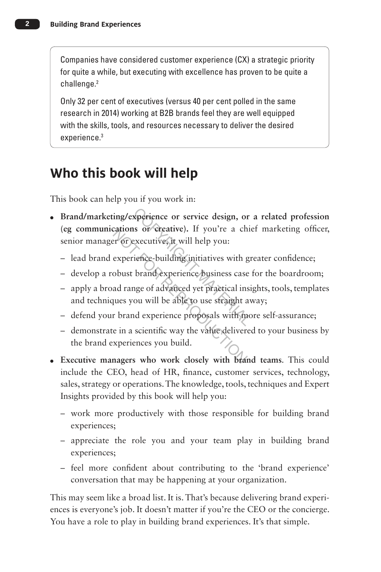Companies have considered customer experience (CX) a strategic priority for quite a while, but executing with excellence has proven to be quite a challenge.<sup>2</sup>

Only 32 per cent of executives (versus 40 per cent polled in the same research in 2014) working at B2B brands feel they are well equipped with the skills, tools, and resources necessary to deliver the desired experience.<sup>3</sup>

## **Who this book will help**

This book can help you if you work in:

- xperience or service design, or<br>is or creative). If you're a chia<br>executive, it will help you:<br>ience-building initiatives with gr<br>brand experience business case<br>nge of advanced yet practical insi<br>ou will be able to use str ● **Brand/marketing/experience or service design, or a related profession (eg communications or creative).** If you're a chief marketing officer, senior manager or executive, it will help you:
	- lead brand experience-building initiatives with greater confidence;
	- develop a robust brand experience business case for the boardroom;
	- Executive, it you re a charged the reference-building initiatives with a<br>charged text will help you:<br>a experience-building initiatives with a<br>cobust brand experience business case<br>ad range of advanced yet practical in<br>ques – apply a broad range of advanced yet practical insights, tools, templates and techniques you will be able to use straight away;
	- defend your brand experience proposals with more self-assurance;
	- demonstrate in a scientific way the value delivered to your business by the brand experiences you build.
- **Executive managers who work closely with brand teams***.* This could include the CEO, head of HR, finance, customer services, technology, sales, strategy or operations. The knowledge, tools, techniques and Expert Insights provided by this book will help you:
	- work more productively with those responsible for building brand experiences;
	- appreciate the role you and your team play in building brand experiences;
	- feel more confident about contributing to the 'brand experience' conversation that may be happening at your organization.

This may seem like a broad list. It is. That's because delivering brand experiences is everyone's job. It doesn't matter if you're the CEO or the concierge. You have a role to play in building brand experiences. It's that simple.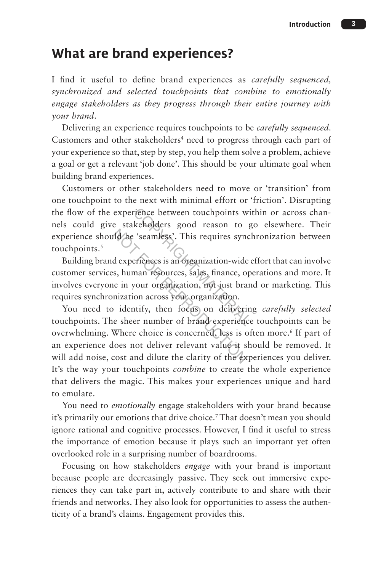## **What are brand experiences?**

I find it useful to define brand experiences as *carefully sequenced, synchronized and selected touchpoints that combine to emotionally engage stakeholders as they progress through their entire journey with your brand*.

Delivering an experience requires touchpoints to be *carefully sequenced*. Customers and other stakeholders<sup>4</sup> need to progress through each part of your experience so that, step by step, you help them solve a problem, achieve a goal or get a relevant 'job done'. This should be your ultimate goal when building brand experiences.

rience between touchpoints wi<br>keholders good reason to g<br>examless'. This requires synce<br>eriences is an organization-wide e<br>nan resources, sales, finance, op<br>your organization, not just bran<br>on across your organization.<br>hti Customers or other stakeholders need to move or 'transition' from one touchpoint to the next with minimal effort or 'friction'. Disrupting the flow of the experience between touchpoints within or across channels could give stakeholders good reason to go elsewhere. Their experience should be 'seamless'. This requires synchronization between touchpoints. $5$ 

Building brand experiences is an organization-wide effort that can involve customer services, human resources, sales, finance, operations and more. It involves everyone in your organization, not just brand or marketing. This requires synchronization across your organization.

The 'seamless'. This requires syncores<br>dexperiences is an organization-wide<br>s, human resources, sales, finance, o<br>ne in your organization, not just bra<br>nization across your organization.<br>identify, then focus on deliveries<br> You need to identify, then focus on delivering *carefully selected* touchpoints. The sheer number of brand experience touchpoints can be overwhelming. Where choice is concerned, less is often more.<sup>6</sup> If part of an experience does not deliver relevant value-it should be removed. It will add noise, cost and dilute the clarity of the experiences you deliver. It's the way your touchpoints *combine* to create the whole experience that delivers the magic. This makes your experiences unique and hard to emulate.

You need to *emotionally* engage stakeholders with your brand because it's primarily our emotions that drive choice.<sup>7</sup> That doesn't mean you should ignore rational and cognitive processes. However, I find it useful to stress the importance of emotion because it plays such an important yet often overlooked role in a surprising number of boardrooms.

Focusing on how stakeholders *engage* with your brand is important because people are decreasingly passive. They seek out immersive experiences they can take part in, actively contribute to and share with their friends and networks. They also look for opportunities to assess the authenticity of a brand's claims. Engagement provides this.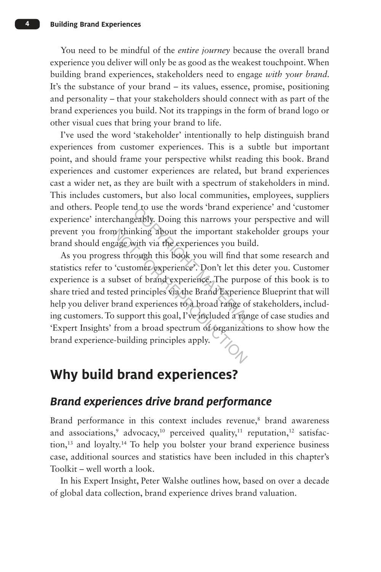You need to be mindful of the *entire journey* because the overall brand experience you deliver will only be as good as the weakest touchpoint. When building brand experiences, stakeholders need to engage *with your brand.*  It's the substance of your brand – its values, essence, promise, positioning and personality – that your stakeholders should connect with as part of the brand experiences you build. Not its trappings in the form of brand logo or other visual cues that bring your brand to life.

I've used the word 'stakeholder' intentionally to help distinguish brand experiences from customer experiences. This is a subtle but important point, and should frame your perspective whilst reading this book. Brand experiences and customer experiences are related, but brand experiences cast a wider net, as they are built with a spectrum of stakeholders in mind. This includes customers, but also local communities, employees, suppliers and others. People tend to use the words 'brand experience' and 'customer experience' interchangeably. Doing this narrows your perspective and will prevent you from thinking about the important stakeholder groups your brand should engage with via the experiences you build.

d to use the words brand experience<br>leably. Doing this narrows your<br>hking about the important stak<br>with via the experiences you buil<br>cough this book you will find the<br>omer experience? Don't let this<br>of brand experience. Th m thinking about the important stagge with via the experiences you bu<br>ss through this book you will find the customer experience. Don't let this<br>ubset of brand experience. The purposet of brand experience, The purposet<br>ste As you progress through this book you will find that some research and statistics refer to 'customer experience'. Don't let this deter you. Customer experience is a subset of brand experience. The purpose of this book is to share tried and tested principles via the Brand Experience Blueprint that will help you deliver brand experiences to a broad range of stakeholders, including customers. To support this goal, I've included a range of case studies and 'Expert Insights' from a broad spectrum of organizations to show how the brand experience-building principles apply.

## **Why build brand experiences?**

## **Brand experiences drive brand performance**

Brand performance in this context includes revenue,<sup>8</sup> brand awareness and associations,<sup>9</sup> advocacy,<sup>10</sup> perceived quality,<sup>11</sup> reputation,<sup>12</sup> satisfaction,<sup>13</sup> and loyalty.<sup>14</sup> To help you bolster your brand experience business case, additional sources and statistics have been included in this chapter's Toolkit – well worth a look.

In his Expert Insight, Peter Walshe outlines how, based on over a decade of global data collection, brand experience drives brand valuation.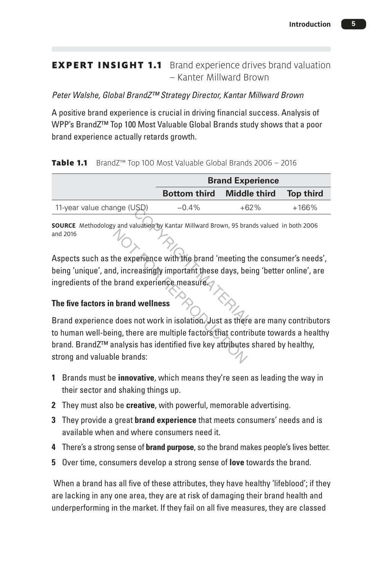## **EXPERT INSIGHT 1.1** Brand experience drives brand valuation – Kanter Millward Brown

#### Peter Walshe, Global BrandZ<sup>™</sup> Strategy Director, Kantar Millward Brown

A positive brand experience is crucial in driving financial success. Analysis of WPP's BrandZ<sup>™</sup> Top 100 Most Valuable Global Brands study shows that a poor brand experience actually retards growth.

#### **Table 1.1** BrandZ<sup>™</sup> Top 100 Most Valuable Global Brands 2006 – 2016

|                            | <b>Brand Experience</b> |                     |                  |
|----------------------------|-------------------------|---------------------|------------------|
|                            | <b>Bottom third</b>     | <b>Middle third</b> | <b>Top third</b> |
| 11-year value change (USD) | $-0.4\%$                | $+62\%$             | $+166%$          |

**SOURCE** Methodology and valuation by Kantar Millward Brown, 95 brands valued in both 2006 and 2016

Fox and the District of the SDSD, and the SDSD, the Hotel Hotel SDSD, and the SDSD, the SDSD, the SP of the SP of the SP of the SP of the SP of the SP of the SP of the SP of the SP of the SP of the SP of the SP of the SP o Aspects such as the experience with the brand 'meeting the consumer's needs', being 'unique', and, increasingly important these days, being 'better online', are ingredients of the brand experience measure

#### **The five factors in brand wellness**

Note that the experience with the brand 'meeting<br>
the experience with the brand 'meeting<br>
d, increasingly important these days, be<br>
brand experience measure.<br> **herefore the action**<br>
does not work in isolation. Just as ther Brand experience does not work in isolation. Just as there are many contributors to human well-being, there are multiple factors that contribute towards a healthy brand. BrandZ™ analysis has identified five key attributes shared by healthy, strong and valuable brands:

- **1** Brands must be **innovative**, which means they're seen as leading the way in their sector and shaking things up.
- **2** They must also be **creative**, with powerful, memorable advertising.
- **3** They provide a great **brand experience** that meets consumers' needs and is available when and where consumers need it.
- **4** There's a strong sense of **brand purpose**, so the brand makes people's lives better.
- **5** Over time, consumers develop a strong sense of **love** towards the brand.

 When a brand has all five of these attributes, they have healthy 'lifeblood'; if they are lacking in any one area, they are at risk of damaging their brand health and underperforming in the market. If they fail on all five measures, they are classed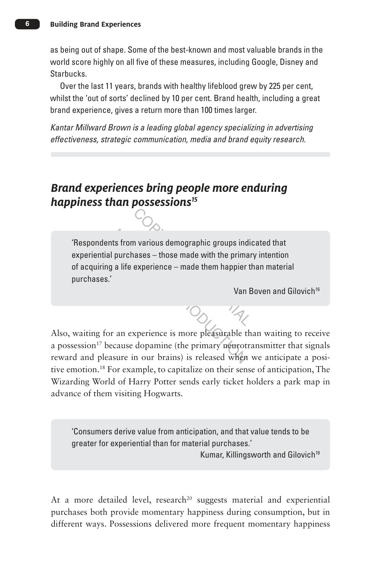as being out of shape. Some of the best-known and most valuable brands in the world score highly on all five of these measures, including Google, Disney and Starbucks.

Over the last 11 years, brands with healthy lifeblood grew by 225 per cent, whilst the 'out of sorts' declined by 10 per cent. Brand health, including a great brand experience, gives a return more than 100 times larger.

Kantar Millward Brown is a leading global agency specializing in advertising effectiveness, strategic communication, media and brand equity research.

## **Brand experiences bring people more enduring happiness than possessions<sup>15</sup>**

CORY<br>
In various demographic groups indicases – those made with the primar<br>
experience – made them happier the<br>
Van E It's from various demographic groups incounting the primary a life experience – made them happier<br>a life experience – made them happier<br>Van<br>a cause dopamine (the primary neurot<br>sure in our brains) is released when 'Respondents from various demographic groups indicated that experiential purchases – those made with the primary intention of acquiring a life experience – made them happier than material purchases.'

Van Boven and Gilovich<sup>16</sup>

Also, waiting for an experience is more pleasurable than waiting to receive a possession<sup>17</sup> because dopamine (the primary neurotransmitter that signals reward and pleasure in our brains) is released when we anticipate a positive emotion.<sup>18</sup> For example, to capitalize on their sense of anticipation, The Wizarding World of Harry Potter sends early ticket holders a park map in advance of them visiting Hogwarts.

'Consumers derive value from anticipation, and that value tends to be greater for experiential than for material purchases.'

Kumar, Killingsworth and Gilovich<sup>19</sup>

At a more detailed level, research<sup>20</sup> suggests material and experiential purchases both provide momentary happiness during consumption, but in different ways. Possessions delivered more frequent momentary happiness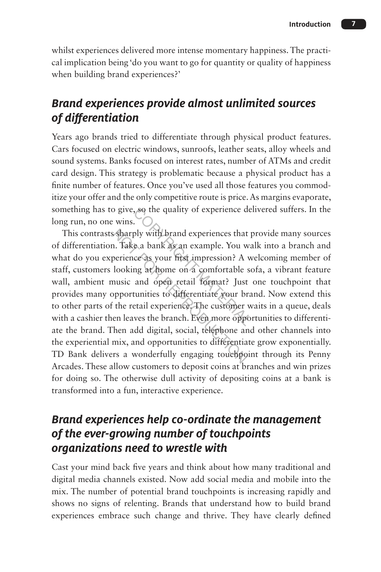whilst experiences delivered more intense momentary happiness. The practical implication being 'do you want to go for quantity or quality of happiness when building brand experiences?'

## **Brand experiences provide almost unlimited sources of differentiation**

Years ago brands tried to differentiate through physical product features. Cars focused on electric windows, sunroofs, leather seats, alloy wheels and sound systems. Banks focused on interest rates, number of ATMs and credit card design. This strategy is problematic because a physical product has a finite number of features. Once you've used all those features you commoditize your offer and the only competitive route is price. As margins evaporate, something has to give, so the quality of experience delivered suffers. In the long run, no one wins.

, so the quality of experience de<br>
exply with brand experiences that p<br>
e a bank as an example. You was<br>
ce as your first impression? A w<br>
mg at home on a comfortable se<br>
and open retail format? Just<br>
tunities to different Sharply with brand experiences that<br>
1. Take a bank as an example. You w<br>
perience as your first impression? A<br>
looking at home on a comfortable<br>
nusic and open retail format? Just<br>
popportunities to differentiate your bi<br> This contrasts sharply with brand experiences that provide many sources of differentiation. Take a bank as an example. You walk into a branch and what do you experience as your first impression? A welcoming member of staff, customers looking at home on a comfortable sofa, a vibrant feature wall, ambient music and open retail format? Just one touchpoint that provides many opportunities to differentiate your brand. Now extend this to other parts of the retail experience. The customer waits in a queue, deals with a cashier then leaves the branch. Even more opportunities to differentiate the brand. Then add digital, social, telephone and other channels into the experiential mix, and opportunities to differentiate grow exponentially. TD Bank delivers a wonderfully engaging touchpoint through its Penny Arcades. These allow customers to deposit coins at branches and win prizes for doing so. The otherwise dull activity of depositing coins at a bank is transformed into a fun, interactive experience.

## **Brand experiences help co-ordinate the management of the ever-growing number of touchpoints organizations need to wrestle with**

Cast your mind back five years and think about how many traditional and digital media channels existed. Now add social media and mobile into the mix. The number of potential brand touchpoints is increasing rapidly and shows no signs of relenting. Brands that understand how to build brand experiences embrace such change and thrive. They have clearly defined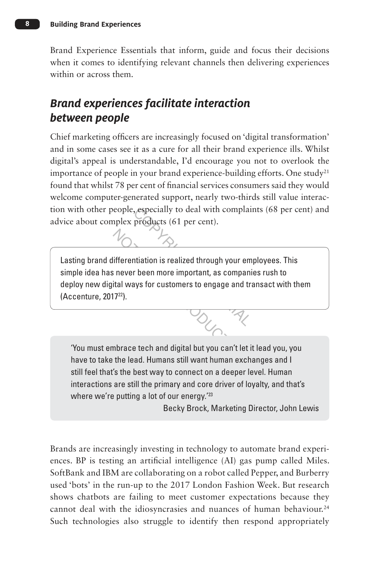Brand Experience Essentials that inform, guide and focus their decisions when it comes to identifying relevant channels then delivering experiences within or across them.

## **Brand experiences facilitate interaction between people**

Chief marketing officers are increasingly focused on 'digital transformation' and in some cases see it as a cure for all their brand experience ills. Whilst digital's appeal is understandable, I'd encourage you not to overlook the importance of people in your brand experience-building efforts. One study<sup>21</sup> found that whilst 78 per cent of financial services consumers said they would welcome computer-generated support, nearly two-thirds still value interaction with other people, especially to deal with complaints (68 per cent) and advice about complex products (61 per cent).

expecially to deal with complaint<br>products (61 per cent).<br>matriation is realized through your emphasized through your emphasized through your emphasized through your emphasized through your emphasized and transverse for cu Ifferentiation is realized through your electric<br>interferentiation is realized through your electric<br>ital ways for customers to engage and the<br>proper customers to engage and the<br>proper customers to engage and the<br>proper cu Lasting brand differentiation is realized through your employees. This simple idea has never been more important, as companies rush to deploy new digital ways for customers to engage and transact with them (Accenture, 2017<sup>22</sup>).

'You must embrace tech and digital but you can't let it lead you, you have to take the lead. Humans still want human exchanges and I still feel that's the best way to connect on a deeper level. Human interactions are still the primary and core driver of loyalty, and that's where we're putting a lot of our energy.<sup> $23$ </sup>

Becky Brock, Marketing Director, John Lewis

Brands are increasingly investing in technology to automate brand experiences. BP is testing an artificial intelligence (AI) gas pump called Miles. SoftBank and IBM are collaborating on a robot called Pepper, and Burberry used 'bots' in the run-up to the 2017 London Fashion Week. But research shows chatbots are failing to meet customer expectations because they cannot deal with the idiosyncrasies and nuances of human behaviour.<sup>24</sup> Such technologies also struggle to identify then respond appropriately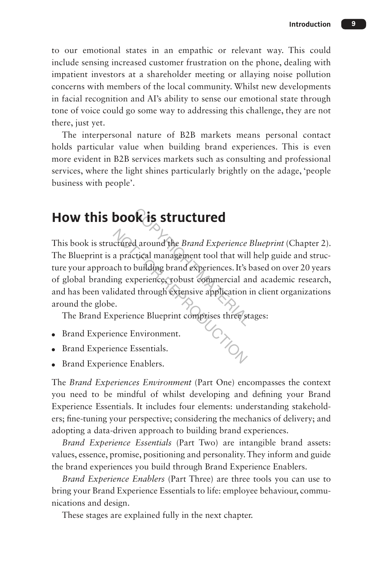to our emotional states in an empathic or relevant way. This could include sensing increased customer frustration on the phone, dealing with impatient investors at a shareholder meeting or allaying noise pollution concerns with members of the local community. Whilst new developments in facial recognition and AI's ability to sense our emotional state through tone of voice could go some way to addressing this challenge, they are not there, just yet.

The interpersonal nature of B2B markets means personal contact holds particular value when building brand experiences. This is even more evident in B2B services markets such as consulting and professional services, where the light shines particularly brightly on the adage, 'people business with people'.

## **How this book is structured**

**COPYRIGHT STATUCTURED**<br>
Superiories Arangement tool that will<br>
building brand experiences. It's b<br>
perience, robust commercial and through extensive application is<br>
nce Blueprint comprises three sta The Brand Experience<br>
a practical management tool that will<br>
ch to building brand experiences. It's<br>
ng experience, robust commercial a<br>
idated through extensive application<br>
e.<br>
perience Blueprint comprises three s<br>
ence This book is structured around the *Brand Experience Blueprint* (Chapter 2). The Blueprint is a practical management tool that will help guide and structure your approach to building brand experiences. It's based on over 20 years of global branding experience, robust commercial and academic research, and has been validated through extensive application in client organizations around the globe.

The Brand Experience Blueprint comprises three stages:

- Brand Experience Environment.
- Brand Experience Essentials.
- Brand Experience Enablers.

The *Brand Experiences Environment* (Part One) encompasses the context you need to be mindful of whilst developing and defining your Brand Experience Essentials. It includes four elements: understanding stakeholders; fine-tuning your perspective; considering the mechanics of delivery; and adopting a data-driven approach to building brand experiences.

*Brand Experience Essentials* (Part Two) are intangible brand assets: values, essence, promise, positioning and personality. They inform and guide the brand experiences you build through Brand Experience Enablers.

*Brand Experience Enablers* (Part Three) are three tools you can use to bring your Brand Experience Essentials to life: employee behaviour, communications and design.

These stages are explained fully in the next chapter.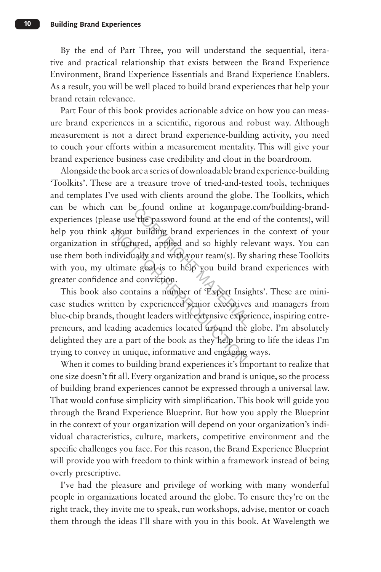By the end of Part Three, you will understand the sequential, iterative and practical relationship that exists between the Brand Experience Environment, Brand Experience Essentials and Brand Experience Enablers. As a result, you will be well placed to build brand experiences that help your brand retain relevance.

Part Four of this book provides actionable advice on how you can measure brand experiences in a scientific, rigorous and robust way. Although measurement is not a direct brand experience-building activity, you need to couch your efforts within a measurement mentality. This will give your brand experience business case credibility and clout in the boardroom.

Explored the password found at the end<br>building brand experiences in<br>ured, applied and so highly releasily and with your team(s). By s<br>e goal is to help you build bra<br>conviction.<br>tains a number of 'Expert Insig<br>y experienc Alongside the book are a series of downloadable brand experience-building 'Toolkits'. These are a treasure trove of tried-and-tested tools, techniques and templates I've used with clients around the globe. The Toolkits, which can be which can be found online at koganpage.com/building-brandexperiences (please use the password found at the end of the contents), will help you think about building brand experiences in the context of your organization in structured, applied and so highly relevant ways. You can use them both individually and with your team(s). By sharing these Toolkits with you, my ultimate goal is to help you build brand experiences with greater confidence and conviction.

about building brand experiences in<br>structured, applied and so highly re<br>dividually and with your team(s). By<br>timate goal is to help you build br<br>is ten and conviction.<br>o contains a number of 'Expert Insi<br>ten by experience This book also contains a number of 'Expert Insights'. These are minicase studies written by experienced senior executives and managers from blue-chip brands, thought leaders with extensive experience, inspiring entrepreneurs, and leading academics located around the globe. I'm absolutely delighted they are a part of the book as they help bring to life the ideas I'm trying to convey in unique, informative and engaging ways.

When it comes to building brand experiences it's important to realize that one size doesn't fit all. Every organization and brand is unique, so the process of building brand experiences cannot be expressed through a universal law. That would confuse simplicity with simplification. This book will guide you through the Brand Experience Blueprint. But how you apply the Blueprint in the context of your organization will depend on your organization's individual characteristics, culture, markets, competitive environment and the specific challenges you face. For this reason, the Brand Experience Blueprint will provide you with freedom to think within a framework instead of being overly prescriptive.

I've had the pleasure and privilege of working with many wonderful people in organizations located around the globe. To ensure they're on the right track, they invite me to speak, run workshops, advise, mentor or coach them through the ideas I'll share with you in this book. At Wavelength we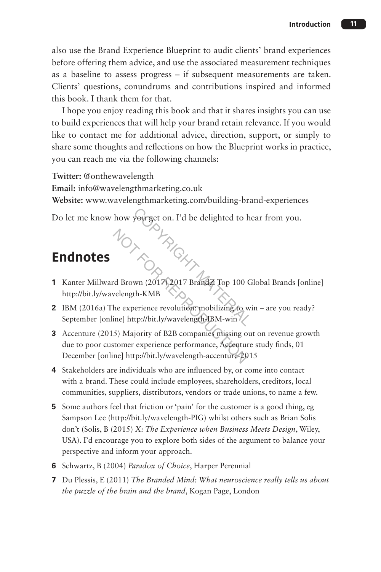also use the Brand Experience Blueprint to audit clients' brand experiences before offering them advice, and use the associated measurement techniques as a baseline to assess progress – if subsequent measurements are taken. Clients' questions, conundrums and contributions inspired and informed this book. I thank them for that.

I hope you enjoy reading this book and that it shares insights you can use to build experiences that will help your brand retain relevance. If you would like to contact me for additional advice, direction, support, or simply to share some thoughts and reflections on how the Blueprint works in practice, you can reach me via the following channels:

**Twitter:** @onthewavelength **Email:** info@wavelengthmarketing.co.uk **Website:** www.wavelengthmarketing.com/building-brand-experiences

Do let me know how you get on. I'd be delighted to hear from you.

# **Endnotes**

- Fourget on. I'd be delighted to he<br>
A<br>
C<br>
W (2017)2017 BrandZ Top 100 G<br>
th-KMB<br>
Serience revolution: mobilizing to witp://bit.ly/wavelength-IBM-win **1** Kanter Millward Brown (2017) 2017 BrandZ Top 100 Global Brands [online] http://bit.ly/wavelength-KMB
- **2** IBM (2016a) The experience revolution: mobilizing to win are you ready? September [online] http://bit.ly/wavelength-IBM-win
- Not Brown (2017)<br>2017 Brandz Top 100<br>welength-KMB<br>he experience revolution: mobilizing to<br>ine] http://bit.ly/wavelength-IBM-win<br>5) Majority of B2B companies missing o<br>stomer experience performance, Accenture<br>ine] http://bi **3** Accenture (2015) Majority of B2B companies missing out on revenue growth due to poor customer experience performance, Accenture study finds, 01 December [online] http://bit.ly/wavelength-accenture-2015
- **4** Stakeholders are individuals who are influenced by, or come into contact with a brand. These could include employees, shareholders, creditors, local communities, suppliers, distributors, vendors or trade unions, to name a few.
- **5** Some authors feel that friction or 'pain' for the customer is a good thing, eg Sampson Lee (http://bit.ly/wavelength-PIG) whilst others such as Brian Solis don't (Solis, B (2015) *X: The Experience when Business Meets Design*, Wiley, USA). I'd encourage you to explore both sides of the argument to balance your perspective and inform your approach.
- **6** Schwartz, B (2004) *Paradox of Choice*, Harper Perennial
- **7** Du Plessis, E (2011) *The Branded Mind: What neuroscience really tells us about the puzzle of the brain and the brand*, Kogan Page, London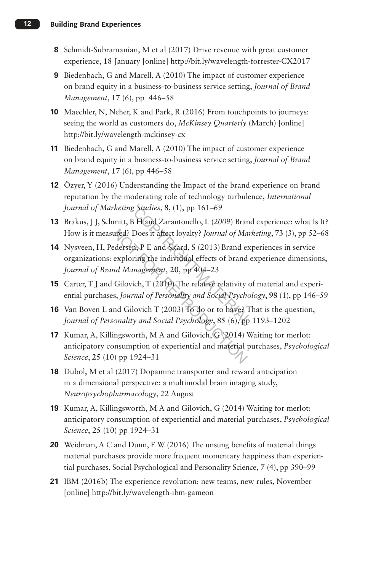- **8** Schmidt-Subramanian, M et al (2017) Drive revenue with great customer experience, 18 January [online] http://bit.ly/wavelength-forrester-CX2017
- **9** Biedenbach, G and Marell, A (2010) The impact of customer experience on brand equity in a business-to-business service setting, *Journal of Brand Management*, **17** (6), pp 446–58
- **10** Maechler, N, Neher, K and Park, R (2016) From touchpoints to journeys: seeing the world as customers do, *McKinsey Quarterly* (March) [online] http://bit.ly/wavelength-mckinsey-cx
- **11** Biedenbach, G and Marell, A (2010) The impact of customer experience on brand equity in a business-to-business service setting, *Journal of Brand Management*, **17** (6), pp 446–58
- **12** Özyer, Y (2016) Understanding the Impact of the brand experience on brand reputation by the moderating role of technology turbulence, *International Journal of Marketing Studies*, **8**, (1), pp 161–69
- **13** Brakus, J J, Schmitt, B H and Zarantonello, L (*2009*) Brand experience: what Is It? How is it measured? Does it affect loyalty? *Journal of Marketing*, **73** (3), pp 52–68
- Suddes, 8, (1), pp 161–69<br>
Expansion CAP 161–69<br>
Expansion Copyright Markov Constrainer<br>
Does it affect loyalty? Journal of Markov<br>
Fing the individual effects of brand expansion Constrainer<br>
Markov Copyright Markov Charle **14** Nysveen, H, Pedersen, P E and Skard, S (2013) Brand experiences in service organizations: exploring the individual effects of brand experience dimensions, *Journal of Brand Management*, **20**, pp 404–23
- **15** Carter, T J and Gilovich, T (2010) The relative relativity of material and experiential purchases, *Journal of Personality and Social Psychology*, **98** (1), pp 146–59
- **16** Van Boven L and Gilovich T (2003) To do or to have? That is the question, *Journal of Personality and Social Psychology*, **85** (6), pp 1193–1202
- ured? Does it affect loyalty? *Journal of Ma*<br>edersen, P E and Skard, S (2013) Brand e<br>exploring the individual effects of brand<br>*nd Management*, 20, pp 404–23<br>Gilovich, T (2019) The relative relativity<br>s, *Journal of Pers* **17** Kumar, A, Killingsworth, M A and Gilovich, G (2014) Waiting for merlot: anticipatory consumption of experiential and material purchases, *Psychological Science*, **25** (10) pp 1924–31
- **18** Dubol, M et al (2017) Dopamine transporter and reward anticipation in a dimensional perspective: a multimodal brain imaging study, *Neuropsychopharmacology*, 22 August
- **19** Kumar, A, Killingsworth, M A and Gilovich, G (2014) Waiting for merlot: anticipatory consumption of experiential and material purchases, *Psychological Science*, **25** (10) pp 1924–31
- **20** Weidman, A C and Dunn, E W (2016) The unsung benefits of material things material purchases provide more frequent momentary happiness than experiential purchases, Social Psychological and Personality Science, **7** (4), pp 390–99
- **21** IBM (2016b) The experience revolution: new teams, new rules, November [online] http://bit.ly/wavelength-ibm-gameon